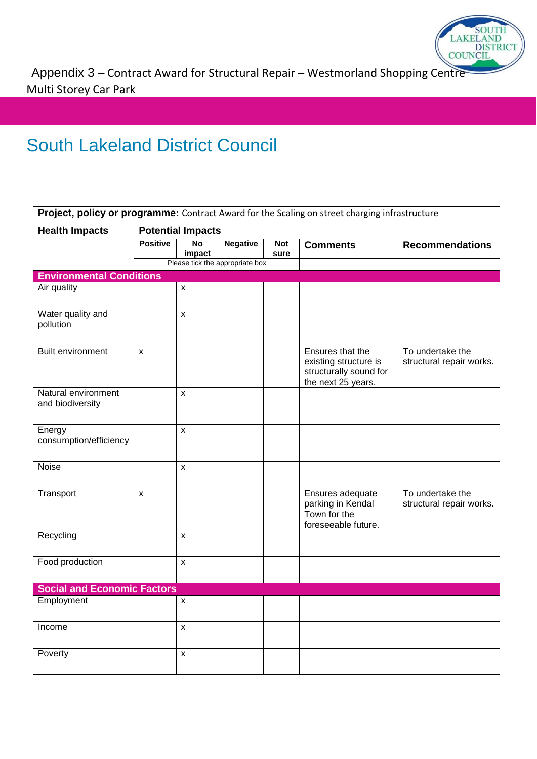

Appendix 3 – Contract Award for Structural Repair – Westmorland Shopping Centre Multi Storey Car Park

## South Lakeland District Council

| <b>Health Impacts</b>                   | <b>Potential Impacts</b> |                    |                                 |            |                                                                                           |                                              |
|-----------------------------------------|--------------------------|--------------------|---------------------------------|------------|-------------------------------------------------------------------------------------------|----------------------------------------------|
|                                         | <b>Positive</b>          | <b>No</b>          | <b>Negative</b>                 | <b>Not</b> | <b>Comments</b>                                                                           | <b>Recommendations</b>                       |
|                                         |                          | impact             |                                 | sure       |                                                                                           |                                              |
|                                         |                          |                    | Please tick the appropriate box |            |                                                                                           |                                              |
| <b>Environmental Conditions</b>         |                          |                    |                                 |            |                                                                                           |                                              |
| Air quality                             |                          | $\pmb{\mathsf{X}}$ |                                 |            |                                                                                           |                                              |
| Water quality and<br>pollution          |                          | $\pmb{\mathsf{X}}$ |                                 |            |                                                                                           |                                              |
| <b>Built environment</b>                | $\pmb{\chi}$             |                    |                                 |            | Ensures that the<br>existing structure is<br>structurally sound for<br>the next 25 years. | To undertake the<br>structural repair works. |
| Natural environment<br>and biodiversity |                          | X                  |                                 |            |                                                                                           |                                              |
| Energy<br>consumption/efficiency        |                          | $\pmb{\mathsf{X}}$ |                                 |            |                                                                                           |                                              |
| Noise                                   |                          | X                  |                                 |            |                                                                                           |                                              |
| Transport                               | $\mathsf{x}$             |                    |                                 |            | Ensures adequate<br>parking in Kendal<br>Town for the<br>foreseeable future.              | To undertake the<br>structural repair works. |
| Recycling                               |                          | $\mathsf{x}$       |                                 |            |                                                                                           |                                              |
| Food production                         |                          | $\mathsf{x}$       |                                 |            |                                                                                           |                                              |
| <b>Social and Economic Factors</b>      |                          |                    |                                 |            |                                                                                           |                                              |
| Employment                              |                          | $\mathsf{x}$       |                                 |            |                                                                                           |                                              |
| Income                                  |                          | $\pmb{\mathsf{X}}$ |                                 |            |                                                                                           |                                              |
| Poverty                                 |                          | X                  |                                 |            |                                                                                           |                                              |